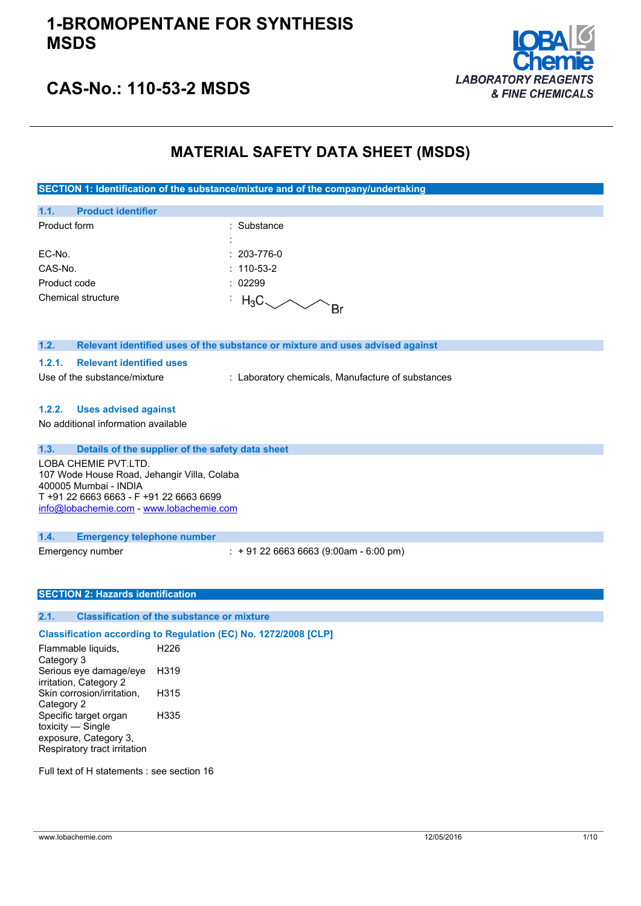### **1-BROMOPENTANE FOR SYNTHESIS MSDS**



### **CAS-No.: 110-53-2 MSDS**

### **MATERIAL SAFETY DATA SHEET (MSDS)**

**SECTION 1: Identification of the substance/mixture and of the company/undertaking**

| 1.1.               | <b>Product identifier</b> |                               |                   |
|--------------------|---------------------------|-------------------------------|-------------------|
| Product form       |                           |                               | $:$ Substance     |
|                    |                           | ٠<br>$\overline{\phantom{a}}$ |                   |
| EC-No.             |                           |                               | $: 203 - 776 - 0$ |
| CAS-No.            |                           |                               | $: 110-53-2$      |
| Product code       |                           |                               | : 02299           |
| Chemical structure |                           |                               | $H_3C$            |

| Relevant identified uses of the substance or mixture and uses advised against | 1.2. |  |  |  |
|-------------------------------------------------------------------------------|------|--|--|--|
|-------------------------------------------------------------------------------|------|--|--|--|

#### **1.2.1. Relevant identified uses**

Use of the substance/mixture : Laboratory chemicals, Manufacture of substances

#### **1.2.2. Uses advised against**

No additional information available

| 1.3. | Details of the supplier of the safety data sheet |
|------|--------------------------------------------------|
|      | LOBA CHEMIE PVT.LTD.                             |
|      | 107 Wode House Road, Jehangir Villa, Colaba      |
|      | 400005 Mumbai - INDIA                            |
|      | T +91 22 6663 6663 - F +91 22 6663 6699          |
|      | info@lobachemie.com - www.lobachemie.com         |
|      |                                                  |

#### **1.4. Emergency telephone number**

Emergency number : + 91 22 6663 6663 (9:00am - 6:00 pm)

#### **SECTION 2: Hazards identification**

#### **2.1. Classification of the substance or mixture**

**Classification according to Regulation (EC) No. 1272/2008 [CLP]**

Flammable liquids, Category 3 H226 Serious eye damage/eye irritation, Category 2 H319 Skin corrosion/irritation, Category 2 H315 Specific target organ toxicity — Single exposure, Category 3, Respiratory tract irritation H335

Full text of H statements : see section 16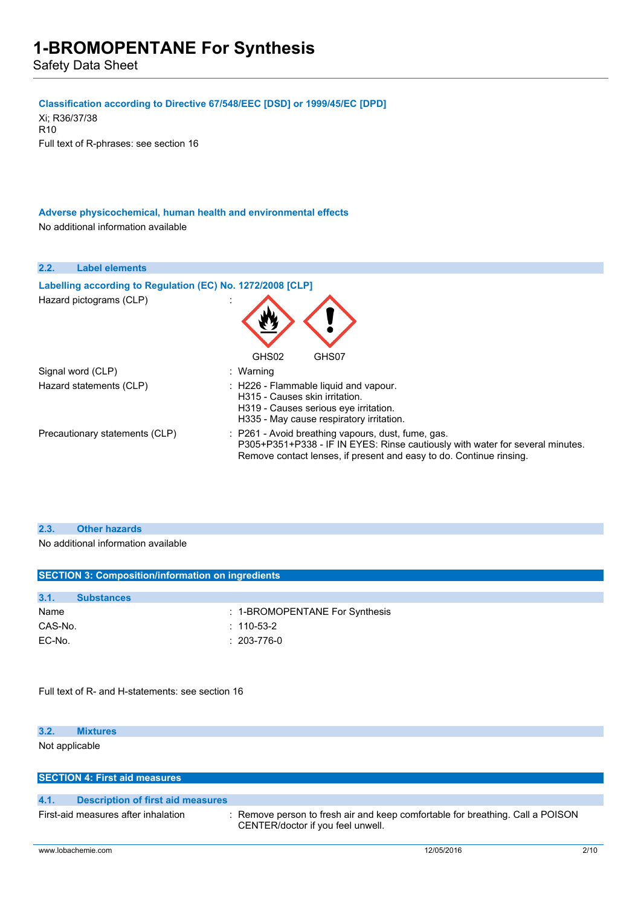Safety Data Sheet

#### **Classification according to Directive 67/548/EEC [DSD] or 1999/45/EC [DPD]**

Xi; R36/37/38 R10 Full text of R-phrases: see section 16

**Adverse physicochemical, human health and environmental effects** No additional information available



#### **2.3. Other hazards**

No additional information available

| <b>SECTION 3: Composition/information on ingredients</b> |                   |                                |
|----------------------------------------------------------|-------------------|--------------------------------|
|                                                          |                   |                                |
| 3.1.                                                     | <b>Substances</b> |                                |
| Name                                                     |                   | : 1-BROMOPENTANE For Synthesis |
| CAS-No.                                                  |                   | $: 110 - 53 - 2$               |
| EC-No.                                                   |                   | $: 203 - 776 - 0$              |
|                                                          |                   |                                |

Full text of R- and H-statements: see section 16

#### **3.2. Mixtures**

Not applicable

|      | <b>SECTION 4: First aid measures</b> |                                                                                                                     |
|------|--------------------------------------|---------------------------------------------------------------------------------------------------------------------|
| 4.1. | Description of first aid measures    |                                                                                                                     |
|      | First-aid measures after inhalation  | : Remove person to fresh air and keep comfortable for breathing. Call a POISON<br>CENTER/doctor if you feel unwell. |
|      |                                      |                                                                                                                     |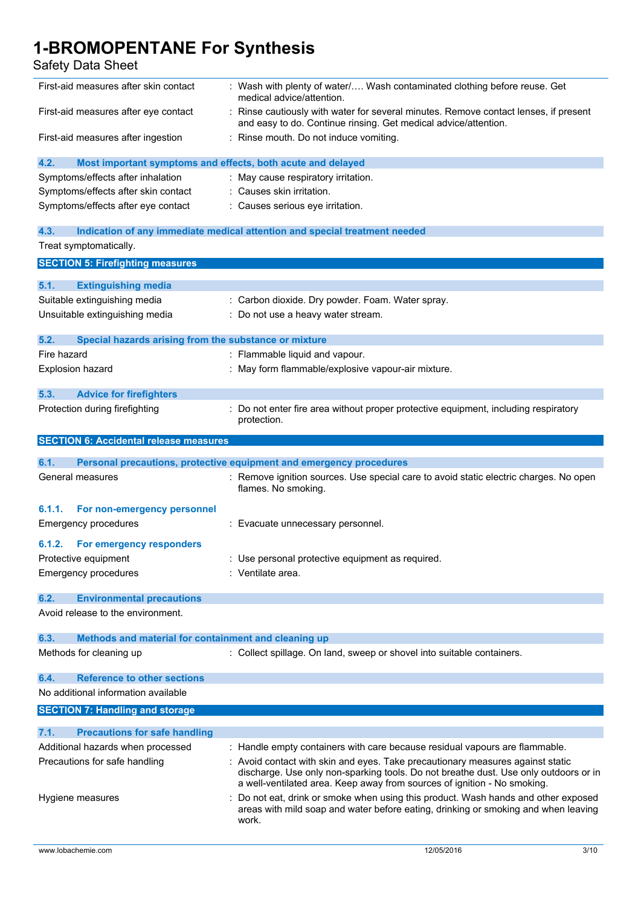### Safety Data Sheet

| First-aid measures after skin contact                               | : Wash with plenty of water/ Wash contaminated clothing before reuse. Get<br>medical advice/attention.                                                                                                                                             |
|---------------------------------------------------------------------|----------------------------------------------------------------------------------------------------------------------------------------------------------------------------------------------------------------------------------------------------|
| First-aid measures after eye contact                                | Rinse cautiously with water for several minutes. Remove contact lenses, if present<br>and easy to do. Continue rinsing. Get medical advice/attention.                                                                                              |
| First-aid measures after ingestion                                  | : Rinse mouth. Do not induce vomiting.                                                                                                                                                                                                             |
| Most important symptoms and effects, both acute and delayed<br>4.2. |                                                                                                                                                                                                                                                    |
| Symptoms/effects after inhalation                                   | : May cause respiratory irritation.                                                                                                                                                                                                                |
| Symptoms/effects after skin contact                                 | : Causes skin irritation.                                                                                                                                                                                                                          |
| Symptoms/effects after eye contact                                  | : Causes serious eye irritation.                                                                                                                                                                                                                   |
|                                                                     |                                                                                                                                                                                                                                                    |
| 4.3.                                                                | Indication of any immediate medical attention and special treatment needed                                                                                                                                                                         |
| Treat symptomatically.                                              |                                                                                                                                                                                                                                                    |
| <b>SECTION 5: Firefighting measures</b>                             |                                                                                                                                                                                                                                                    |
| 5.1.<br><b>Extinguishing media</b>                                  |                                                                                                                                                                                                                                                    |
| Suitable extinguishing media                                        | : Carbon dioxide. Dry powder. Foam. Water spray.                                                                                                                                                                                                   |
| Unsuitable extinguishing media                                      | : Do not use a heavy water stream.                                                                                                                                                                                                                 |
|                                                                     |                                                                                                                                                                                                                                                    |
| 5.2.<br>Special hazards arising from the substance or mixture       |                                                                                                                                                                                                                                                    |
| Fire hazard                                                         | : Flammable liquid and vapour.                                                                                                                                                                                                                     |
| <b>Explosion hazard</b>                                             | : May form flammable/explosive vapour-air mixture.                                                                                                                                                                                                 |
| 5.3.<br><b>Advice for firefighters</b>                              |                                                                                                                                                                                                                                                    |
| Protection during firefighting                                      | Do not enter fire area without proper protective equipment, including respiratory                                                                                                                                                                  |
|                                                                     | protection.                                                                                                                                                                                                                                        |
| <b>SECTION 6: Accidental release measures</b>                       |                                                                                                                                                                                                                                                    |
|                                                                     |                                                                                                                                                                                                                                                    |
| 6.1.                                                                | Personal precautions, protective equipment and emergency procedures                                                                                                                                                                                |
|                                                                     |                                                                                                                                                                                                                                                    |
| General measures                                                    | : Remove ignition sources. Use special care to avoid static electric charges. No open<br>flames. No smoking.                                                                                                                                       |
| For non-emergency personnel<br>6.1.1.                               |                                                                                                                                                                                                                                                    |
| <b>Emergency procedures</b>                                         | : Evacuate unnecessary personnel.                                                                                                                                                                                                                  |
| 6.1.2.                                                              |                                                                                                                                                                                                                                                    |
| <b>For emergency responders</b>                                     |                                                                                                                                                                                                                                                    |
| Protective equipment<br><b>Emergency procedures</b>                 | : Use personal protective equipment as required.<br>: Ventilate area.                                                                                                                                                                              |
|                                                                     |                                                                                                                                                                                                                                                    |
| <b>Environmental precautions</b><br>6.2.                            |                                                                                                                                                                                                                                                    |
| Avoid release to the environment.                                   |                                                                                                                                                                                                                                                    |
|                                                                     |                                                                                                                                                                                                                                                    |
| 6.3.<br>Methods and material for containment and cleaning up        |                                                                                                                                                                                                                                                    |
| Methods for cleaning up                                             | : Collect spillage. On land, sweep or shovel into suitable containers.                                                                                                                                                                             |
| <b>Reference to other sections</b><br>6.4.                          |                                                                                                                                                                                                                                                    |
| No additional information available                                 |                                                                                                                                                                                                                                                    |
| <b>SECTION 7: Handling and storage</b>                              |                                                                                                                                                                                                                                                    |
| 7.1.                                                                |                                                                                                                                                                                                                                                    |
| <b>Precautions for safe handling</b>                                |                                                                                                                                                                                                                                                    |
| Additional hazards when processed                                   | : Handle empty containers with care because residual vapours are flammable.                                                                                                                                                                        |
| Precautions for safe handling                                       | : Avoid contact with skin and eyes. Take precautionary measures against static<br>discharge. Use only non-sparking tools. Do not breathe dust. Use only outdoors or in<br>a well-ventilated area. Keep away from sources of ignition - No smoking. |
| Hygiene measures                                                    | Do not eat, drink or smoke when using this product. Wash hands and other exposed                                                                                                                                                                   |
|                                                                     | areas with mild soap and water before eating, drinking or smoking and when leaving<br>work.                                                                                                                                                        |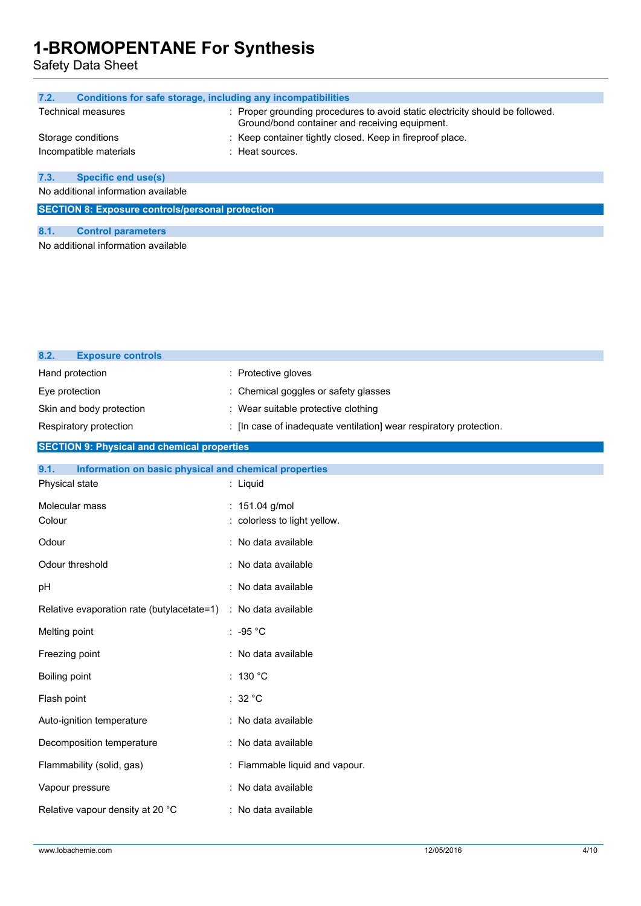Safety Data Sheet

| 7.2.                                                    | Conditions for safe storage, including any incompatibilities                                                                    |  |
|---------------------------------------------------------|---------------------------------------------------------------------------------------------------------------------------------|--|
| <b>Technical measures</b>                               | : Proper grounding procedures to avoid static electricity should be followed.<br>Ground/bond container and receiving equipment. |  |
| Storage conditions                                      | : Keep container tightly closed. Keep in fireproof place.                                                                       |  |
| Incompatible materials                                  | : Heat sources.                                                                                                                 |  |
| <b>Specific end use(s)</b><br>7.3.                      |                                                                                                                                 |  |
| No additional information available                     |                                                                                                                                 |  |
| <b>SECTION 8: Exposure controls/personal protection</b> |                                                                                                                                 |  |
|                                                         |                                                                                                                                 |  |
| 8.1.<br><b>Control parameters</b>                       |                                                                                                                                 |  |
|                                                         |                                                                                                                                 |  |

No additional information available

| 8.2.<br><b>Exposure controls</b>                              |                                                                    |
|---------------------------------------------------------------|--------------------------------------------------------------------|
| Hand protection                                               | : Protective gloves                                                |
| Eye protection                                                | : Chemical goggles or safety glasses                               |
| Skin and body protection                                      | : Wear suitable protective clothing                                |
| Respiratory protection                                        | : [In case of inadequate ventilation] wear respiratory protection. |
| <b>SECTION 9: Physical and chemical properties</b>            |                                                                    |
| 9.1.<br>Information on basic physical and chemical properties |                                                                    |
| Physical state                                                | : Liquid                                                           |
| Molecular mass                                                | : 151.04 g/mol                                                     |
| Colour                                                        | : colorless to light yellow.                                       |
| Odour                                                         | : No data available                                                |
| Odour threshold                                               | : No data available                                                |
| pH                                                            | : No data available                                                |
| Relative evaporation rate (butylacetate=1)                    | : No data available                                                |
| Melting point                                                 | : -95 $^{\circ}$ C                                                 |
| Freezing point                                                | : No data available                                                |
| Boiling point                                                 | : 130 °C                                                           |
| Flash point                                                   | : $32 °C$                                                          |
| Auto-ignition temperature                                     | : No data available                                                |
| Decomposition temperature                                     | : No data available                                                |
| Flammability (solid, gas)                                     | : Flammable liquid and vapour.                                     |
| Vapour pressure                                               | : No data available                                                |
| Relative vapour density at 20 °C                              | : No data available                                                |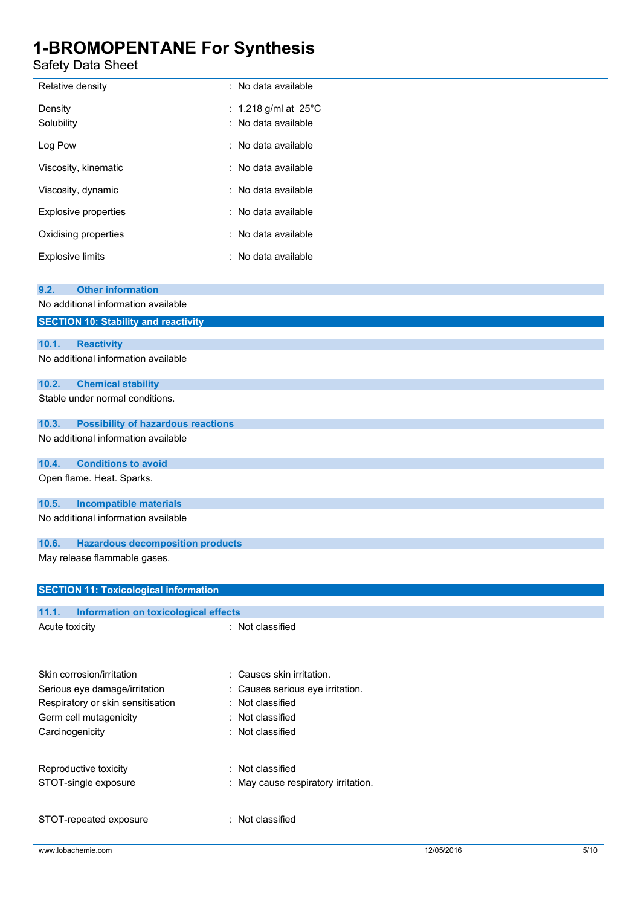Safety Data Sheet

| Relative density            | : No data available                                    |
|-----------------------------|--------------------------------------------------------|
| Density<br>Solubility       | : 1.218 g/ml at 25 $^{\circ}$ C<br>: No data available |
| Log Pow                     | ∶ No data available                                    |
| Viscosity, kinematic        | : No data available                                    |
| Viscosity, dynamic          | : No data available                                    |
| <b>Explosive properties</b> | : No data available                                    |
| Oxidising properties        | : No data available                                    |
| <b>Explosive limits</b>     | : No data available                                    |

| <b>Other information</b><br>9.2.                                |
|-----------------------------------------------------------------|
| No additional information available                             |
| <b>SECTION 10: Stability and reactivity</b>                     |
| 10.1.<br><b>Reactivity</b>                                      |
| No additional information available                             |
|                                                                 |
| 10.2.<br><b>Chemical stability</b>                              |
| Stable under normal conditions.                                 |
| 10.3.<br><b>Possibility of hazardous reactions</b>              |
| No additional information available                             |
| <b>Conditions to avoid</b><br>10.4.                             |
| Open flame. Heat. Sparks.                                       |
| 10.5.<br><b>Incompatible materials</b>                          |
| No additional information available                             |
| 10.6.<br><b>Hazardous decomposition products</b>                |
| May release flammable gases.                                    |
| <b>SECTION 11: Toxicological information</b>                    |
| 11.1.<br>Information on toxicological effects                   |
| : Not classified<br>Acute toxicity                              |
|                                                                 |
| Skin corrosion/irritation<br>: Causes skin irritation.          |
| Serious eye damage/irritation<br>Causes serious eye irritation. |
| Not classified<br>Respiratory or skin sensitisation             |
| Germ cell mutagenicity<br>: Not classified                      |
| Carcinogenicity<br>Not classified                               |

Reproductive toxicity **in the COV** Reproductive toxicity STOT-single exposure : May cause respiratory irritation.

STOT-repeated exposure : Not classified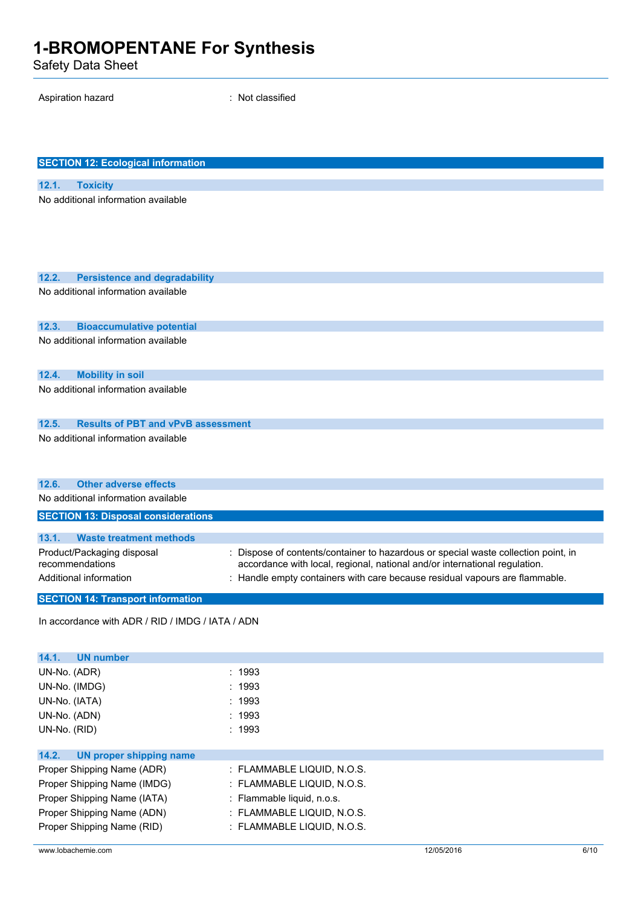Safety Data Sheet

Aspiration hazard is a set of the set of the Spiration hazard is not classified

| <b>SECTION 12: Ecological information</b>          |                                                                                    |
|----------------------------------------------------|------------------------------------------------------------------------------------|
| 12.1.<br><b>Toxicity</b>                           |                                                                                    |
| No additional information available                |                                                                                    |
|                                                    |                                                                                    |
|                                                    |                                                                                    |
|                                                    |                                                                                    |
|                                                    |                                                                                    |
| 12.2.<br><b>Persistence and degradability</b>      |                                                                                    |
| No additional information available                |                                                                                    |
|                                                    |                                                                                    |
| 12.3.<br><b>Bioaccumulative potential</b>          |                                                                                    |
| No additional information available                |                                                                                    |
|                                                    |                                                                                    |
| 12.4.<br><b>Mobility in soil</b>                   |                                                                                    |
| No additional information available                |                                                                                    |
|                                                    |                                                                                    |
| 12.5.<br><b>Results of PBT and vPvB assessment</b> |                                                                                    |
| No additional information available                |                                                                                    |
|                                                    |                                                                                    |
|                                                    |                                                                                    |
| <b>Other adverse effects</b><br>12.6.              |                                                                                    |
| No additional information available                |                                                                                    |
| <b>SECTION 13: Disposal considerations</b>         |                                                                                    |
| 13.1.<br><b>Waste treatment methods</b>            |                                                                                    |
| Product/Packaging disposal                         | : Dispose of contents/container to hazardous or special waste collection point, in |
| recommendations                                    | accordance with local, regional, national and/or international regulation.         |
| Additional information                             | : Handle empty containers with care because residual vapours are flammable.        |
| <b>SECTION 14: Transport information</b>           |                                                                                    |
|                                                    |                                                                                    |
| In accordance with ADR / RID / IMDG / IATA / ADN   |                                                                                    |
|                                                    |                                                                                    |
| 14.1.<br><b>UN number</b>                          |                                                                                    |
| UN-No. (ADR)                                       | : 1993                                                                             |
| UN-No. (IMDG)                                      | 1993                                                                               |
| UN-No. (IATA)                                      | : 1993                                                                             |
| UN-No. (ADN)<br>UN-No. (RID)                       | : 1993<br>: 1993                                                                   |
|                                                    |                                                                                    |
| 14.2.<br><b>UN proper shipping name</b>            |                                                                                    |
| Proper Shipping Name (ADR)                         | : FLAMMABLE LIQUID, N.O.S.                                                         |
| Proper Shipping Name (IMDG)                        | : FLAMMABLE LIQUID, N.O.S.                                                         |
| Proper Shipping Name (IATA)                        | : Flammable liquid, n.o.s.                                                         |
| Proper Shipping Name (ADN)                         | : FLAMMABLE LIQUID, N.O.S.                                                         |
| Proper Shipping Name (RID)                         | : FLAMMABLE LIQUID, N.O.S.                                                         |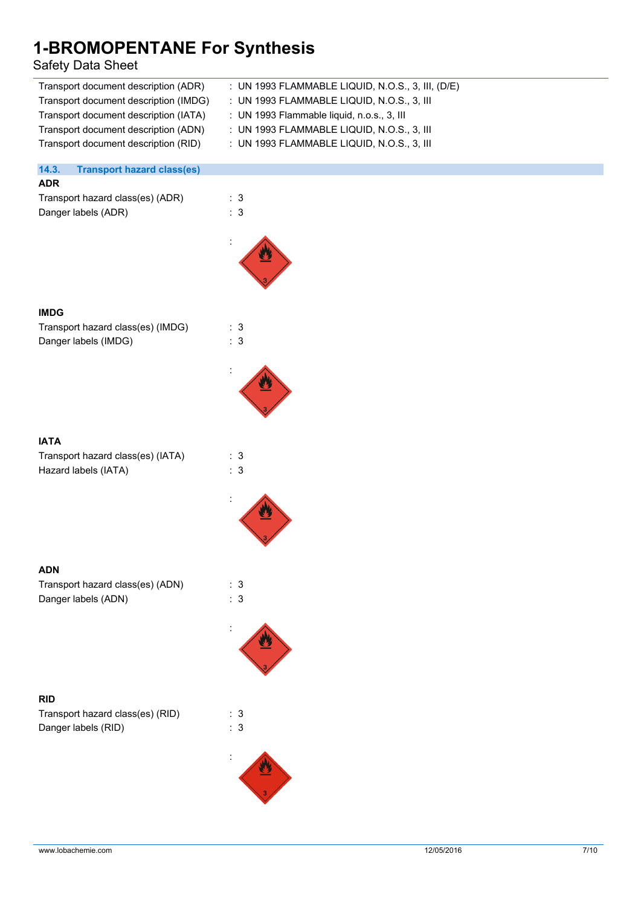### Safety Data Sheet

| <b>1-BROMOPENTANE For Synthesis</b><br><b>Safety Data Sheet</b> |                                                   |
|-----------------------------------------------------------------|---------------------------------------------------|
| Transport document description (ADR)                            | : UN 1993 FLAMMABLE LIQUID, N.O.S., 3, III, (D/E) |
| Transport document description (IMDG)                           | : UN 1993 FLAMMABLE LIQUID, N.O.S., 3, III        |
| Transport document description (IATA)                           | : UN 1993 Flammable liquid, n.o.s., 3, III        |
| Transport document description (ADN)                            | : UN 1993 FLAMMABLE LIQUID, N.O.S., 3, III        |
| Transport document description (RID)                            | : UN 1993 FLAMMABLE LIQUID, N.O.S., 3, III        |
| 14.3.<br><b>Transport hazard class(es)</b>                      |                                                   |
| <b>ADR</b>                                                      |                                                   |
| Transport hazard class(es) (ADR)                                | : 3                                               |
| Danger labels (ADR)                                             | : 3                                               |
|                                                                 |                                                   |
| <b>IMDG</b>                                                     |                                                   |
| Transport hazard class(es) (IMDG)                               | : 3                                               |
| Danger labels (IMDG)                                            | : 3                                               |
|                                                                 |                                                   |

#### **IATA**

Transport hazard class(es) (IATA) : 3 Hazard labels (IATA) : 3



#### **ADN**

| Transport hazard class(es) (ADN) | : 3 |
|----------------------------------|-----|
| Danger labels (ADN)              | : 3 |



Transport hazard class(es) (RID) : 3 Danger labels (RID)  $\qquad \qquad$  : 3



: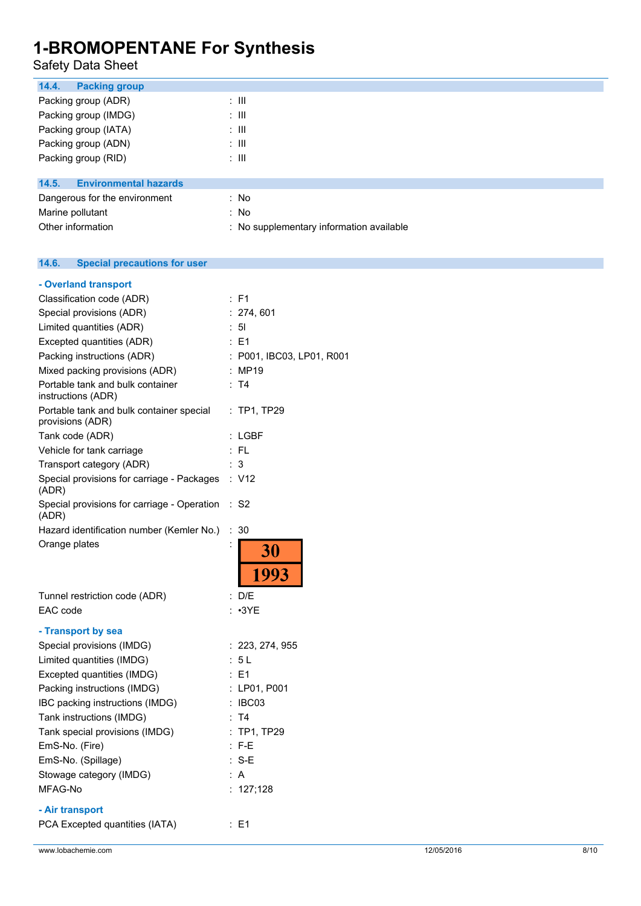### Safety Data Sheet

| 14.4.<br><b>Packing group</b>         |                                          |
|---------------------------------------|------------------------------------------|
| Packing group (ADR)                   | ÷ III                                    |
| Packing group (IMDG)                  | ÷ III                                    |
| Packing group (IATA)                  | ÷ III                                    |
| Packing group (ADN)                   | ÷ III                                    |
| Packing group (RID)                   | ÷ III                                    |
|                                       |                                          |
| 14.5.<br><b>Environmental hazards</b> |                                          |
| Dangerous for the environment         | : No                                     |
| Marine pollutant                      | : No                                     |
| Other information                     | : No supplementary information available |

#### **14.6. Special precautions for user**

| - Overland transport                                         |                |                           |
|--------------------------------------------------------------|----------------|---------------------------|
| Classification code (ADR)                                    |                | $:$ F1                    |
| Special provisions (ADR)                                     |                | : 274, 601                |
| Limited quantities (ADR)                                     |                | : 51                      |
| Excepted quantities (ADR)                                    |                | : E1                      |
| Packing instructions (ADR)                                   |                | : P001, IBC03, LP01, R001 |
| Mixed packing provisions (ADR)                               |                | : MP19                    |
| Portable tank and bulk container<br>instructions (ADR)       |                | : T4                      |
| Portable tank and bulk container special<br>provisions (ADR) |                | $:$ TP1, TP29             |
| Tank code (ADR)                                              |                | : LGBF                    |
| Vehicle for tank carriage                                    |                | : FL                      |
| Transport category (ADR)                                     |                | 3                         |
| Special provisions for carriage - Packages<br>(ADR)          |                | : V12                     |
| Special provisions for carriage - Operation<br>(ADR)         |                | : S2                      |
| Hazard identification number (Kemler No.)                    | ÷              | 30                        |
| Orange plates                                                | $\ddot{\cdot}$ | 30<br>1993                |
| Tunnel restriction code (ADR)                                |                | : D/E                     |
| EAC code                                                     |                | : 3YE                     |
| - Transport by sea                                           |                |                           |
| Special provisions (IMDG)                                    |                | : 223, 274, 955           |
| Limited quantities (IMDG)                                    |                | : 5 L                     |
| Excepted quantities (IMDG)                                   |                | $E = 1$                   |
| Packing instructions (IMDG)                                  |                | : LP01, P001              |
| IBC packing instructions (IMDG)                              |                | : IBC03                   |
| Tank instructions (IMDG)                                     |                | : T4                      |
| Tank special provisions (IMDG)                               |                | : TP1, TP29               |
| EmS-No. (Fire)                                               |                | $: F-E$                   |
| EmS-No. (Spillage)                                           |                | $: S-E$                   |
| Stowage category (IMDG)                                      |                | : A                       |
| MFAG-No                                                      |                | : $127;128$               |
| - Air transport                                              |                |                           |
| PCA Excepted quantities (IATA)                               |                | : E1                      |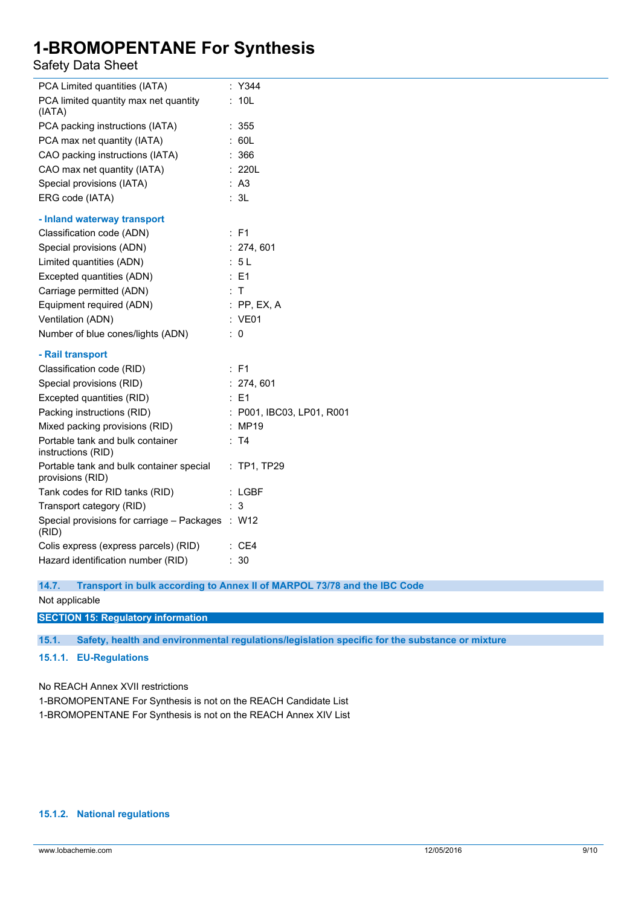### Safety Data Sheet

| PCA Limited quantities (IATA)                                | : Y344                    |
|--------------------------------------------------------------|---------------------------|
| PCA limited quantity max net quantity<br>(IATA)              | : 10L                     |
| PCA packing instructions (IATA)                              | : 355                     |
| PCA max net quantity (IATA)                                  | : 60L                     |
| CAO packing instructions (IATA)                              | : 366                     |
| CAO max net quantity (IATA)                                  | : 220L                    |
| Special provisions (IATA)                                    | : A3                      |
| ERG code (IATA)                                              | : 3L                      |
| - Inland waterway transport                                  |                           |
| Classification code (ADN)                                    | : F1                      |
| Special provisions (ADN)                                     | : 274, 601                |
| Limited quantities (ADN)                                     | : 5L                      |
| Excepted quantities (ADN)                                    | $\therefore$ E1           |
| Carriage permitted (ADN)                                     | : T                       |
| Equipment required (ADN)                                     | $:$ PP, EX, A             |
| Ventilation (ADN)                                            | : VE01                    |
| Number of blue cones/lights (ADN)                            | $\therefore$ 0            |
| - Rail transport                                             |                           |
| Classification code (RID)                                    | : F1                      |
| Special provisions (RID)                                     | : 274, 601                |
| Excepted quantities (RID)                                    | $\therefore$ E1           |
| Packing instructions (RID)                                   | : P001, IBC03, LP01, R001 |
| Mixed packing provisions (RID)                               | : MP19                    |
| Portable tank and bulk container<br>instructions (RID)       | : T4                      |
| Portable tank and bulk container special<br>provisions (RID) | : TP1, TP29               |
| Tank codes for RID tanks (RID)                               | $:$ LGBF                  |
| Transport category (RID)                                     | : 3                       |
| Special provisions for carriage - Packages : W12<br>(RID)    |                           |
| Colis express (express parcels) (RID)                        | : CE4                     |
| Hazard identification number (RID)                           | : 30                      |

**14.7. Transport in bulk according to Annex II of MARPOL 73/78 and the IBC Code** Not applicable

#### **SECTION 15: Regulatory information**

**15.1. Safety, health and environmental regulations/legislation specific for the substance or mixture**

#### **15.1.1. EU-Regulations**

No REACH Annex XVII restrictions

1-BROMOPENTANE For Synthesis is not on the REACH Candidate List

1-BROMOPENTANE For Synthesis is not on the REACH Annex XIV List

#### **15.1.2. National regulations**